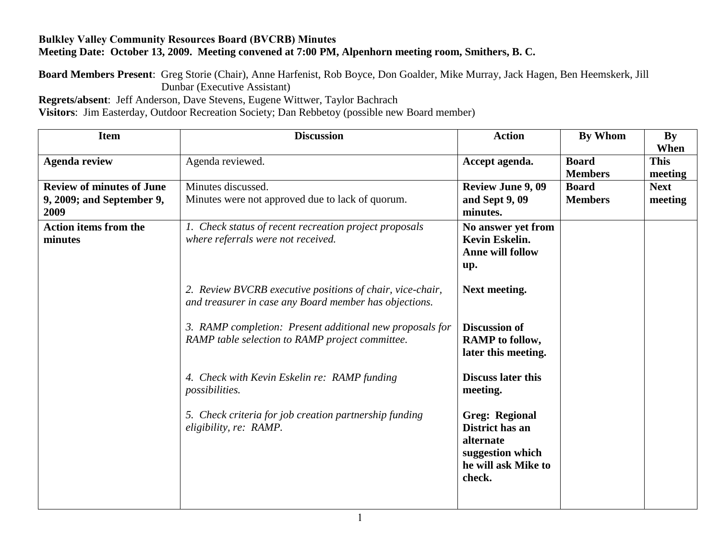## **Bulkley Valley Community Resources Board (BVCRB) Minutes Meeting Date: October 13, 2009. Meeting convened at 7:00 PM, Alpenhorn meeting room, Smithers, B. C.**

**Board Members Present**: Greg Storie (Chair), Anne Harfenist, Rob Boyce, Don Goalder, Mike Murray, Jack Hagen, Ben Heemskerk, Jill Dunbar (Executive Assistant)

**Regrets/absent**: Jeff Anderson, Dave Stevens, Eugene Wittwer, Taylor Bachrach

**Visitors**: Jim Easterday, Outdoor Recreation Society; Dan Rebbetoy (possible new Board member)

| <b>Item</b>                                                           | <b>Discussion</b>                                                                                                   | <b>Action</b>                                                                                              | By Whom                        | By<br>When             |
|-----------------------------------------------------------------------|---------------------------------------------------------------------------------------------------------------------|------------------------------------------------------------------------------------------------------------|--------------------------------|------------------------|
| <b>Agenda review</b>                                                  | Agenda reviewed.                                                                                                    | Accept agenda.                                                                                             | <b>Board</b><br><b>Members</b> | <b>This</b><br>meeting |
| <b>Review of minutes of June</b><br>9, 2009; and September 9,<br>2009 | Minutes discussed.<br>Minutes were not approved due to lack of quorum.                                              | <b>Review June 9, 09</b><br>and Sept 9, 09<br>minutes.                                                     | <b>Board</b><br><b>Members</b> | <b>Next</b><br>meeting |
| <b>Action items from the</b><br>minutes                               | 1. Check status of recent recreation project proposals<br>where referrals were not received.                        | No answer yet from<br>Kevin Eskelin.<br><b>Anne will follow</b><br>up.                                     |                                |                        |
|                                                                       | 2. Review BVCRB executive positions of chair, vice-chair,<br>and treasurer in case any Board member has objections. | Next meeting.                                                                                              |                                |                        |
|                                                                       | 3. RAMP completion: Present additional new proposals for<br>RAMP table selection to RAMP project committee.         | <b>Discussion of</b><br><b>RAMP</b> to follow,<br>later this meeting.                                      |                                |                        |
|                                                                       | 4. Check with Kevin Eskelin re: RAMP funding<br><i>possibilities.</i>                                               | <b>Discuss later this</b><br>meeting.                                                                      |                                |                        |
|                                                                       | 5. Check criteria for job creation partnership funding<br>eligibility, re: RAMP.                                    | <b>Greg: Regional</b><br>District has an<br>alternate<br>suggestion which<br>he will ask Mike to<br>check. |                                |                        |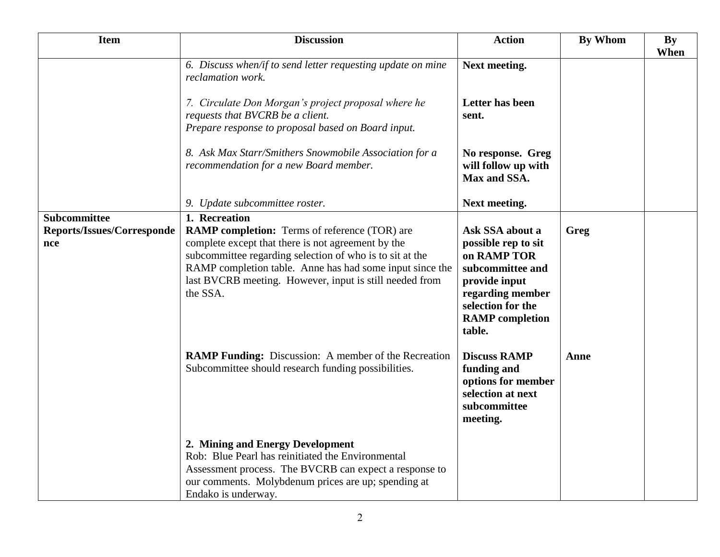| <b>Item</b>                                              | <b>Discussion</b>                                                                                                                                                                                                                                                                                                          | <b>Action</b>                                                                                                                                                           | <b>By Whom</b> | <b>By</b><br>When |
|----------------------------------------------------------|----------------------------------------------------------------------------------------------------------------------------------------------------------------------------------------------------------------------------------------------------------------------------------------------------------------------------|-------------------------------------------------------------------------------------------------------------------------------------------------------------------------|----------------|-------------------|
|                                                          | 6. Discuss when/if to send letter requesting update on mine<br>reclamation work.                                                                                                                                                                                                                                           | Next meeting.                                                                                                                                                           |                |                   |
|                                                          | 7. Circulate Don Morgan's project proposal where he<br>requests that BVCRB be a client.<br>Prepare response to proposal based on Board input.                                                                                                                                                                              | Letter has been<br>sent.                                                                                                                                                |                |                   |
|                                                          | 8. Ask Max Starr/Smithers Snowmobile Association for a<br>recommendation for a new Board member.                                                                                                                                                                                                                           | No response. Greg<br>will follow up with<br>Max and SSA.                                                                                                                |                |                   |
|                                                          | 9. Update subcommittee roster.                                                                                                                                                                                                                                                                                             | Next meeting.                                                                                                                                                           |                |                   |
| Subcommittee<br><b>Reports/Issues/Corresponde</b><br>nce | 1. Recreation<br><b>RAMP completion:</b> Terms of reference (TOR) are<br>complete except that there is not agreement by the<br>subcommittee regarding selection of who is to sit at the<br>RAMP completion table. Anne has had some input since the<br>last BVCRB meeting. However, input is still needed from<br>the SSA. | Ask SSA about a<br>possible rep to sit<br>on RAMP TOR<br>subcommittee and<br>provide input<br>regarding member<br>selection for the<br><b>RAMP</b> completion<br>table. | Greg           |                   |
|                                                          | <b>RAMP Funding:</b> Discussion: A member of the Recreation<br>Subcommittee should research funding possibilities.                                                                                                                                                                                                         | <b>Discuss RAMP</b><br>funding and<br>options for member<br>selection at next<br>subcommittee<br>meeting.                                                               | Anne           |                   |
|                                                          | 2. Mining and Energy Development<br>Rob: Blue Pearl has reinitiated the Environmental<br>Assessment process. The BVCRB can expect a response to<br>our comments. Molybdenum prices are up; spending at<br>Endako is underway.                                                                                              |                                                                                                                                                                         |                |                   |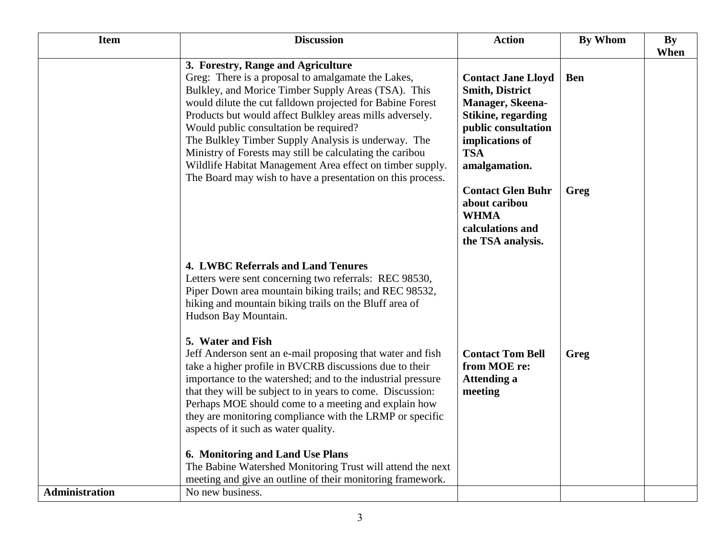| <b>Item</b>    | <b>Discussion</b>                                                                                                                                                                                                                                                                                                                                                                                                                                                                                                                                                                                                                                                                                                                                                                                                                                      | <b>Action</b>                                                                                                                                                                                                                                                                      | <b>By Whom</b>     | <b>By</b> |
|----------------|--------------------------------------------------------------------------------------------------------------------------------------------------------------------------------------------------------------------------------------------------------------------------------------------------------------------------------------------------------------------------------------------------------------------------------------------------------------------------------------------------------------------------------------------------------------------------------------------------------------------------------------------------------------------------------------------------------------------------------------------------------------------------------------------------------------------------------------------------------|------------------------------------------------------------------------------------------------------------------------------------------------------------------------------------------------------------------------------------------------------------------------------------|--------------------|-----------|
|                |                                                                                                                                                                                                                                                                                                                                                                                                                                                                                                                                                                                                                                                                                                                                                                                                                                                        |                                                                                                                                                                                                                                                                                    |                    | When      |
|                | 3. Forestry, Range and Agriculture<br>Greg: There is a proposal to amalgamate the Lakes,<br>Bulkley, and Morice Timber Supply Areas (TSA). This<br>would dilute the cut falldown projected for Babine Forest<br>Products but would affect Bulkley areas mills adversely.<br>Would public consultation be required?<br>The Bulkley Timber Supply Analysis is underway. The<br>Ministry of Forests may still be calculating the caribou<br>Wildlife Habitat Management Area effect on timber supply.<br>The Board may wish to have a presentation on this process.                                                                                                                                                                                                                                                                                       | <b>Contact Jane Lloyd</b><br><b>Smith, District</b><br>Manager, Skeena-<br><b>Stikine, regarding</b><br>public consultation<br>implications of<br><b>TSA</b><br>amalgamation.<br><b>Contact Glen Buhr</b><br>about caribou<br><b>WHMA</b><br>calculations and<br>the TSA analysis. | <b>Ben</b><br>Greg |           |
|                | <b>4. LWBC Referrals and Land Tenures</b><br>Letters were sent concerning two referrals: REC 98530,<br>Piper Down area mountain biking trails; and REC 98532,<br>hiking and mountain biking trails on the Bluff area of<br>Hudson Bay Mountain.<br>5. Water and Fish<br>Jeff Anderson sent an e-mail proposing that water and fish<br>take a higher profile in BVCRB discussions due to their<br>importance to the watershed; and to the industrial pressure<br>that they will be subject to in years to come. Discussion:<br>Perhaps MOE should come to a meeting and explain how<br>they are monitoring compliance with the LRMP or specific<br>aspects of it such as water quality.<br>6. Monitoring and Land Use Plans<br>The Babine Watershed Monitoring Trust will attend the next<br>meeting and give an outline of their monitoring framework. | <b>Contact Tom Bell</b><br>from MOE re:<br><b>Attending a</b><br>meeting                                                                                                                                                                                                           | Greg               |           |
| Administration | No new business.                                                                                                                                                                                                                                                                                                                                                                                                                                                                                                                                                                                                                                                                                                                                                                                                                                       |                                                                                                                                                                                                                                                                                    |                    |           |